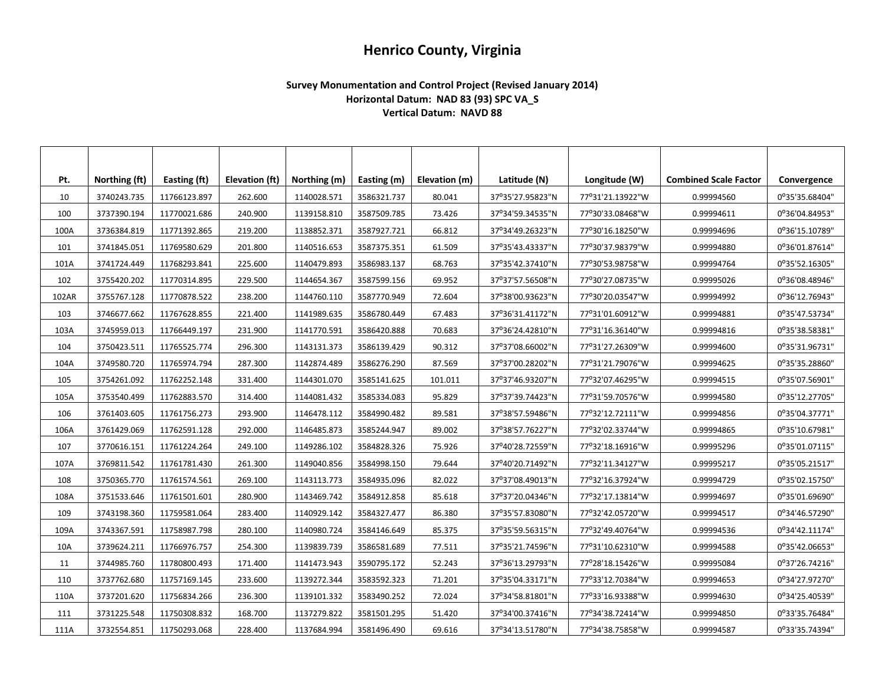## **Henrico County, Virginia**

## **Survey Monumentation and Control Project (Revised January 2014) Horizontal Datum: NAD 83 (93) SPC VA\_S Vertical Datum: NAVD 88**

| Pt.   | Northing (ft) | Easting (ft) | <b>Elevation (ft)</b> | Northing (m) | Easting (m) | Elevation (m) | Latitude (N)     | Longitude (W)    | <b>Combined Scale Factor</b> | Convergence    |
|-------|---------------|--------------|-----------------------|--------------|-------------|---------------|------------------|------------------|------------------------------|----------------|
| 10    | 3740243.735   | 11766123.897 | 262.600               | 1140028.571  | 3586321.737 | 80.041        | 37°35'27.95823"N | 77°31'21.13922"W | 0.99994560                   | 0°35'35.68404" |
| 100   | 3737390.194   | 11770021.686 | 240.900               | 1139158.810  | 3587509.785 | 73.426        | 37°34'59.34535"N | 77°30'33.08468"W | 0.99994611                   | 0°36'04.84953" |
| 100A  | 3736384.819   | 11771392.865 | 219.200               | 1138852.371  | 3587927.721 | 66.812        | 37°34'49.26323"N | 77°30'16.18250"W | 0.99994696                   | 0°36'15.10789" |
| 101   | 3741845.051   | 11769580.629 | 201.800               | 1140516.653  | 3587375.351 | 61.509        | 37°35'43.43337"N | 77°30'37.98379"W | 0.99994880                   | 0°36'01.87614" |
| 101A  | 3741724.449   | 11768293.841 | 225.600               | 1140479.893  | 3586983.137 | 68.763        | 37°35'42.37410"N | 77°30'53.98758"W | 0.99994764                   | 0°35'52.16305" |
| 102   | 3755420.202   | 11770314.895 | 229.500               | 1144654.367  | 3587599.156 | 69.952        | 37°37'57.56508"N | 77°30'27.08735"W | 0.99995026                   | 0°36'08.48946" |
| 102AR | 3755767.128   | 11770878.522 | 238.200               | 1144760.110  | 3587770.949 | 72.604        | 37°38'00.93623"N | 77°30'20.03547"W | 0.99994992                   | 0°36'12.76943" |
| 103   | 3746677.662   | 11767628.855 | 221.400               | 1141989.635  | 3586780.449 | 67.483        | 37°36'31.41172"N | 77°31'01.60912"W | 0.99994881                   | 0°35'47.53734" |
| 103A  | 3745959.013   | 11766449.197 | 231.900               | 1141770.591  | 3586420.888 | 70.683        | 37°36'24.42810"N | 77°31'16.36140"W | 0.99994816                   | 0°35'38.58381" |
| 104   | 3750423.511   | 11765525.774 | 296.300               | 1143131.373  | 3586139.429 | 90.312        | 37°37'08.66002"N | 77°31'27.26309"W | 0.99994600                   | 0°35'31.96731" |
| 104A  | 3749580.720   | 11765974.794 | 287.300               | 1142874.489  | 3586276.290 | 87.569        | 37°37'00.28202"N | 77°31'21.79076"W | 0.99994625                   | 0°35'35.28860" |
| 105   | 3754261.092   | 11762252.148 | 331.400               | 1144301.070  | 3585141.625 | 101.011       | 37°37'46.93207"N | 77°32'07.46295"W | 0.99994515                   | 0°35'07.56901" |
| 105A  | 3753540.499   | 11762883.570 | 314.400               | 1144081.432  | 3585334.083 | 95.829        | 37°37'39.74423"N | 77°31'59.70576"W | 0.99994580                   | 0°35'12.27705" |
| 106   | 3761403.605   | 11761756.273 | 293.900               | 1146478.112  | 3584990.482 | 89.581        | 37°38'57.59486"N | 77°32'12.72111"W | 0.99994856                   | 0°35'04.37771" |
| 106A  | 3761429.069   | 11762591.128 | 292.000               | 1146485.873  | 3585244.947 | 89.002        | 37°38'57.76227"N | 77°32'02.33744"W | 0.99994865                   | 0°35'10.67981" |
| 107   | 3770616.151   | 11761224.264 | 249.100               | 1149286.102  | 3584828.326 | 75.926        | 37°40'28.72559"N | 77°32'18.16916"W | 0.99995296                   | 0°35'01.07115" |
| 107A  | 3769811.542   | 11761781.430 | 261.300               | 1149040.856  | 3584998.150 | 79.644        | 37°40'20.71492"N | 77°32'11.34127"W | 0.99995217                   | 0°35'05.21517" |
| 108   | 3750365.770   | 11761574.561 | 269.100               | 1143113.773  | 3584935.096 | 82.022        | 37°37'08.49013"N | 77°32'16.37924"W | 0.99994729                   | 0°35'02.15750" |
| 108A  | 3751533.646   | 11761501.601 | 280.900               | 1143469.742  | 3584912.858 | 85.618        | 37°37'20.04346"N | 77°32'17.13814"W | 0.99994697                   | 0°35'01.69690" |
| 109   | 3743198.360   | 11759581.064 | 283.400               | 1140929.142  | 3584327.477 | 86.380        | 37°35'57.83080"N | 77°32'42.05720"W | 0.99994517                   | 0°34'46.57290" |
| 109A  | 3743367.591   | 11758987.798 | 280.100               | 1140980.724  | 3584146.649 | 85.375        | 37°35'59.56315"N | 77°32'49.40764"W | 0.99994536                   | 0°34'42.11174" |
| 10A   | 3739624.211   | 11766976.757 | 254.300               | 1139839.739  | 3586581.689 | 77.511        | 37°35'21.74596"N | 77°31'10.62310"W | 0.99994588                   | 0°35'42.06653" |
| 11    | 3744985.760   | 11780800.493 | 171.400               | 1141473.943  | 3590795.172 | 52.243        | 37°36'13.29793"N | 77°28'18.15426"W | 0.99995084                   | 0°37'26.74216" |
| 110   | 3737762.680   | 11757169.145 | 233.600               | 1139272.344  | 3583592.323 | 71.201        | 37°35'04.33171"N | 77°33'12.70384"W | 0.99994653                   | 0°34'27.97270" |
| 110A  | 3737201.620   | 11756834.266 | 236.300               | 1139101.332  | 3583490.252 | 72.024        | 37°34'58.81801"N | 77°33'16.93388"W | 0.99994630                   | 0°34'25.40539" |
| 111   | 3731225.548   | 11750308.832 | 168.700               | 1137279.822  | 3581501.295 | 51.420        | 37°34'00.37416"N | 77°34'38.72414"W | 0.99994850                   | 0°33'35.76484" |
| 111A  | 3732554.851   | 11750293.068 | 228.400               | 1137684.994  | 3581496.490 | 69.616        | 37°34'13.51780"N | 77°34'38.75858"W | 0.99994587                   | 0°33'35.74394" |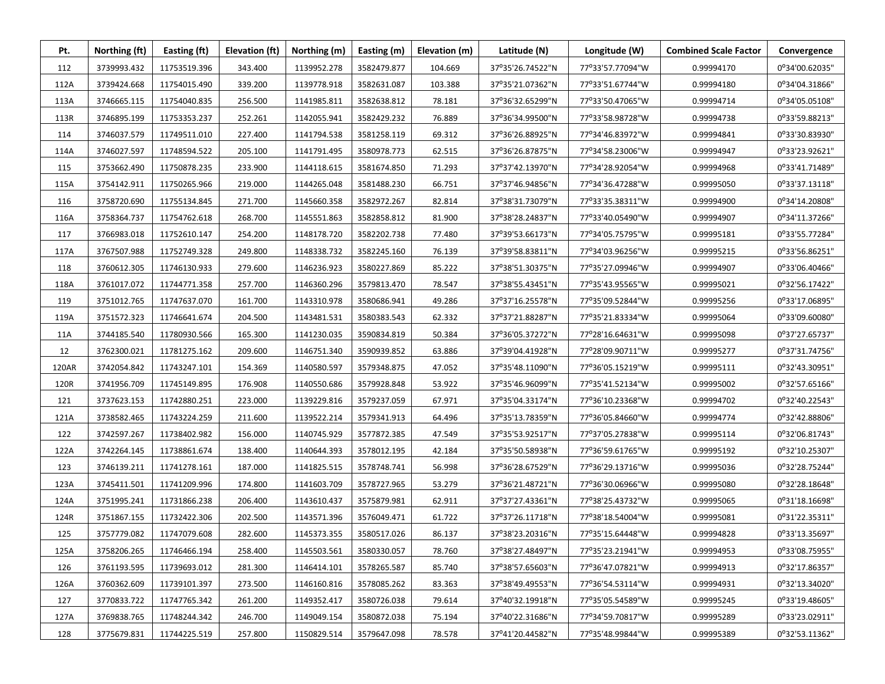| Pt.   | Northing (ft) | Easting (ft) | Elevation (ft) | Northing (m) | Easting (m) | Elevation (m) | Latitude (N)     | Longitude (W)    | <b>Combined Scale Factor</b> | Convergence    |
|-------|---------------|--------------|----------------|--------------|-------------|---------------|------------------|------------------|------------------------------|----------------|
| 112   | 3739993.432   | 11753519.396 | 343.400        | 1139952.278  | 3582479.877 | 104.669       | 37°35'26.74522"N | 77°33'57.77094"W | 0.99994170                   | 0°34'00.62035" |
| 112A  | 3739424.668   | 11754015.490 | 339.200        | 1139778.918  | 3582631.087 | 103.388       | 37°35'21.07362"N | 77°33'51.67744"W | 0.99994180                   | 0°34'04.31866" |
| 113A  | 3746665.115   | 11754040.835 | 256.500        | 1141985.811  | 3582638.812 | 78.181        | 37°36'32.65299"N | 77°33'50.47065"W | 0.99994714                   | 0°34'05.05108" |
| 113R  | 3746895.199   | 11753353.237 | 252.261        | 1142055.941  | 3582429.232 | 76.889        | 37°36'34.99500"N | 77°33'58.98728"W | 0.99994738                   | 0°33'59.88213" |
| 114   | 3746037.579   | 11749511.010 | 227.400        | 1141794.538  | 3581258.119 | 69.312        | 37°36'26.88925"N | 77°34'46.83972"W | 0.99994841                   | 0°33'30.83930" |
| 114A  | 3746027.597   | 11748594.522 | 205.100        | 1141791.495  | 3580978.773 | 62.515        | 37°36'26.87875"N | 77°34'58.23006"W | 0.99994947                   | 0°33'23.92621" |
| 115   | 3753662.490   | 11750878.235 | 233.900        | 1144118.615  | 3581674.850 | 71.293        | 37°37'42.13970"N | 77°34'28.92054"W | 0.99994968                   | 0°33'41.71489" |
| 115A  | 3754142.911   | 11750265.966 | 219.000        | 1144265.048  | 3581488.230 | 66.751        | 37°37'46.94856"N | 77°34'36.47288"W | 0.99995050                   | 0°33'37.13118" |
| 116   | 3758720.690   | 11755134.845 | 271.700        | 1145660.358  | 3582972.267 | 82.814        | 37°38'31.73079"N | 77°33'35.38311"W | 0.99994900                   | 0°34'14.20808" |
| 116A  | 3758364.737   | 11754762.618 | 268.700        | 1145551.863  | 3582858.812 | 81.900        | 37°38'28.24837"N | 77°33'40.05490"W | 0.99994907                   | 0°34'11.37266" |
| 117   | 3766983.018   | 11752610.147 | 254.200        | 1148178.720  | 3582202.738 | 77.480        | 37°39'53.66173"N | 77°34'05.75795"W | 0.99995181                   | 0°33'55.77284" |
| 117A  | 3767507.988   | 11752749.328 | 249.800        | 1148338.732  | 3582245.160 | 76.139        | 37°39'58.83811"N | 77°34'03.96256"W | 0.99995215                   | 0°33'56.86251" |
| 118   | 3760612.305   | 11746130.933 | 279.600        | 1146236.923  | 3580227.869 | 85.222        | 37°38'51.30375"N | 77°35'27.09946"W | 0.99994907                   | 0°33'06.40466" |
| 118A  | 3761017.072   | 11744771.358 | 257.700        | 1146360.296  | 3579813.470 | 78.547        | 37°38'55.43451"N | 77°35'43.95565"W | 0.99995021                   | 0°32'56.17422" |
| 119   | 3751012.765   | 11747637.070 | 161.700        | 1143310.978  | 3580686.941 | 49.286        | 37°37'16.25578"N | 77°35'09.52844"W | 0.99995256                   | 0°33'17.06895" |
| 119A  | 3751572.323   | 11746641.674 | 204.500        | 1143481.531  | 3580383.543 | 62.332        | 37°37'21.88287"N | 77°35'21.83334"W | 0.99995064                   | 0°33'09.60080" |
| 11A   | 3744185.540   | 11780930.566 | 165.300        | 1141230.035  | 3590834.819 | 50.384        | 37°36'05.37272"N | 77°28'16.64631"W | 0.99995098                   | 0°37'27.65737" |
| 12    | 3762300.021   | 11781275.162 | 209.600        | 1146751.340  | 3590939.852 | 63.886        | 37°39'04.41928"N | 77°28'09.90711"W | 0.99995277                   | 0°37'31.74756" |
| 120AR | 3742054.842   | 11743247.101 | 154.369        | 1140580.597  | 3579348.875 | 47.052        | 37°35'48.11090"N | 77°36'05.15219"W | 0.99995111                   | 0°32'43.30951" |
| 120R  | 3741956.709   | 11745149.895 | 176.908        | 1140550.686  | 3579928.848 | 53.922        | 37°35'46.96099"N | 77°35'41.52134"W | 0.99995002                   | 0°32'57.65166" |
| 121   | 3737623.153   | 11742880.251 | 223.000        | 1139229.816  | 3579237.059 | 67.971        | 37°35'04.33174"N | 77°36'10.23368"W | 0.99994702                   | 0°32'40.22543" |
| 121A  | 3738582.465   | 11743224.259 | 211.600        | 1139522.214  | 3579341.913 | 64.496        | 37°35'13.78359"N | 77°36'05.84660"W | 0.99994774                   | 0°32'42.88806" |
| 122   | 3742597.267   | 11738402.982 | 156.000        | 1140745.929  | 3577872.385 | 47.549        | 37°35'53.92517"N | 77°37'05.27838"W | 0.99995114                   | 0°32'06.81743" |
| 122A  | 3742264.145   | 11738861.674 | 138.400        | 1140644.393  | 3578012.195 | 42.184        | 37°35'50.58938"N | 77°36'59.61765"W | 0.99995192                   | 0°32'10.25307" |
| 123   | 3746139.211   | 11741278.161 | 187.000        | 1141825.515  | 3578748.741 | 56.998        | 37°36'28.67529"N | 77°36'29.13716"W | 0.99995036                   | 0°32'28.75244" |
| 123A  | 3745411.501   | 11741209.996 | 174.800        | 1141603.709  | 3578727.965 | 53.279        | 37°36'21.48721"N | 77°36'30.06966"W | 0.99995080                   | 0°32'28.18648" |
| 124A  | 3751995.241   | 11731866.238 | 206.400        | 1143610.437  | 3575879.981 | 62.911        | 37°37'27.43361"N | 77°38'25.43732"W | 0.99995065                   | 0°31'18.16698" |
| 124R  | 3751867.155   | 11732422.306 | 202.500        | 1143571.396  | 3576049.471 | 61.722        | 37°37'26.11718"N | 77°38'18.54004"W | 0.99995081                   | 0°31'22.35311" |
| 125   | 3757779.082   | 11747079.608 | 282.600        | 1145373.355  | 3580517.026 | 86.137        | 37°38'23.20316"N | 77°35'15.64448"W | 0.99994828                   | 0°33'13.35697" |
| 125A  | 3758206.265   | 11746466.194 | 258.400        | 1145503.561  | 3580330.057 | 78.760        | 37°38'27.48497"N | 77°35'23.21941"W | 0.99994953                   | 0°33'08.75955" |
| 126   | 3761193.595   | 11739693.012 | 281.300        | 1146414.101  | 3578265.587 | 85.740        | 37°38'57.65603"N | 77°36'47.07821"W | 0.99994913                   | 0°32'17.86357" |
| 126A  | 3760362.609   | 11739101.397 | 273.500        | 1146160.816  | 3578085.262 | 83.363        | 37°38'49.49553"N | 77°36'54.53114"W | 0.99994931                   | 0°32'13.34020" |
| 127   | 3770833.722   | 11747765.342 | 261.200        | 1149352.417  | 3580726.038 | 79.614        | 37°40'32.19918"N | 77°35'05.54589"W | 0.99995245                   | 0°33'19.48605" |
| 127A  | 3769838.765   | 11748244.342 | 246.700        | 1149049.154  | 3580872.038 | 75.194        | 37°40'22.31686"N | 77°34'59.70817"W | 0.99995289                   | 0°33'23.02911" |
| 128   | 3775679.831   | 11744225.519 | 257.800        | 1150829.514  | 3579647.098 | 78.578        | 37°41'20.44582"N | 77°35'48.99844"W | 0.99995389                   | 0°32'53.11362" |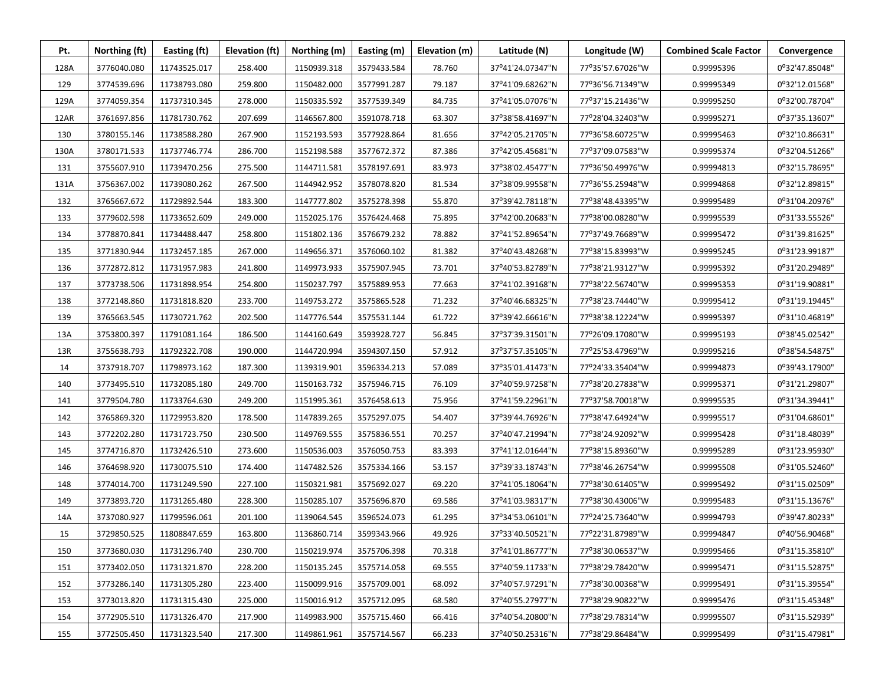| Pt.  | Northing (ft) | Easting (ft) | Elevation (ft) | Northing (m) | Easting (m) | Elevation (m) | Latitude (N)     | Longitude (W)    | <b>Combined Scale Factor</b> | Convergence    |
|------|---------------|--------------|----------------|--------------|-------------|---------------|------------------|------------------|------------------------------|----------------|
| 128A | 3776040.080   | 11743525.017 | 258.400        | 1150939.318  | 3579433.584 | 78.760        | 37°41'24.07347"N | 77°35'57.67026"W | 0.99995396                   | 0°32'47.85048" |
| 129  | 3774539.696   | 11738793.080 | 259.800        | 1150482.000  | 3577991.287 | 79.187        | 37°41'09.68262"N | 77°36'56.71349"W | 0.99995349                   | 0°32'12.01568" |
| 129A | 3774059.354   | 11737310.345 | 278.000        | 1150335.592  | 3577539.349 | 84.735        | 37°41'05.07076"N | 77°37'15.21436"W | 0.99995250                   | 0°32'00.78704" |
| 12AR | 3761697.856   | 11781730.762 | 207.699        | 1146567.800  | 3591078.718 | 63.307        | 37°38'58.41697"N | 77°28'04.32403"W | 0.99995271                   | 0°37'35.13607" |
| 130  | 3780155.146   | 11738588.280 | 267.900        | 1152193.593  | 3577928.864 | 81.656        | 37°42'05.21705"N | 77°36'58.60725"W | 0.99995463                   | 0°32'10.86631" |
| 130A | 3780171.533   | 11737746.774 | 286.700        | 1152198.588  | 3577672.372 | 87.386        | 37°42′05.45681"N | 77°37'09.07583"W | 0.99995374                   | 0°32'04.51266" |
| 131  | 3755607.910   | 11739470.256 | 275.500        | 1144711.581  | 3578197.691 | 83.973        | 37°38'02.45477"N | 77°36'50.49976"W | 0.99994813                   | 0°32'15.78695" |
| 131A | 3756367.002   | 11739080.262 | 267.500        | 1144942.952  | 3578078.820 | 81.534        | 37°38'09.99558"N | 77°36'55.25948"W | 0.99994868                   | 0°32'12.89815" |
| 132  | 3765667.672   | 11729892.544 | 183.300        | 1147777.802  | 3575278.398 | 55.870        | 37°39'42.78118"N | 77°38'48.43395"W | 0.99995489                   | 0°31'04.20976" |
| 133  | 3779602.598   | 11733652.609 | 249.000        | 1152025.176  | 3576424.468 | 75.895        | 37°42'00.20683"N | 77°38'00.08280"W | 0.99995539                   | 0°31'33.55526" |
| 134  | 3778870.841   | 11734488.447 | 258.800        | 1151802.136  | 3576679.232 | 78.882        | 37°41'52.89654"N | 77°37'49.76689"W | 0.99995472                   | 0°31'39.81625" |
| 135  | 3771830.944   | 11732457.185 | 267.000        | 1149656.371  | 3576060.102 | 81.382        | 37°40'43.48268"N | 77°38'15.83993"W | 0.99995245                   | 0°31'23.99187" |
| 136  | 3772872.812   | 11731957.983 | 241.800        | 1149973.933  | 3575907.945 | 73.701        | 37°40'53.82789"N | 77°38'21.93127"W | 0.99995392                   | 0°31'20.29489" |
| 137  | 3773738.506   | 11731898.954 | 254.800        | 1150237.797  | 3575889.953 | 77.663        | 37°41'02.39168"N | 77°38'22.56740"W | 0.99995353                   | 0°31'19.90881" |
| 138  | 3772148.860   | 11731818.820 | 233.700        | 1149753.272  | 3575865.528 | 71.232        | 37°40'46.68325"N | 77°38'23.74440"W | 0.99995412                   | 0°31'19.19445" |
| 139  | 3765663.545   | 11730721.762 | 202.500        | 1147776.544  | 3575531.144 | 61.722        | 37°39'42.66616"N | 77°38'38.12224"W | 0.99995397                   | 0°31'10.46819" |
| 13A  | 3753800.397   | 11791081.164 | 186.500        | 1144160.649  | 3593928.727 | 56.845        | 37°37'39.31501"N | 77°26'09.17080"W | 0.99995193                   | 0°38'45.02542" |
| 13R  | 3755638.793   | 11792322.708 | 190.000        | 1144720.994  | 3594307.150 | 57.912        | 37°37'57.35105"N | 77°25'53.47969"W | 0.99995216                   | 0°38'54.54875" |
| 14   | 3737918.707   | 11798973.162 | 187.300        | 1139319.901  | 3596334.213 | 57.089        | 37°35'01.41473"N | 77°24'33.35404"W | 0.99994873                   | 0°39'43.17900" |
| 140  | 3773495.510   | 11732085.180 | 249.700        | 1150163.732  | 3575946.715 | 76.109        | 37°40'59.97258"N | 77°38'20.27838"W | 0.99995371                   | 0°31'21.29807" |
| 141  | 3779504.780   | 11733764.630 | 249.200        | 1151995.361  | 3576458.613 | 75.956        | 37°41'59.22961"N | 77°37'58.70018"W | 0.99995535                   | 0°31'34.39441" |
| 142  | 3765869.320   | 11729953.820 | 178.500        | 1147839.265  | 3575297.075 | 54.407        | 37°39'44.76926"N | 77°38'47.64924"W | 0.99995517                   | 0°31'04.68601" |
| 143  | 3772202.280   | 11731723.750 | 230.500        | 1149769.555  | 3575836.551 | 70.257        | 37°40'47.21994"N | 77°38'24.92092"W | 0.99995428                   | 0°31'18.48039" |
| 145  | 3774716.870   | 11732426.510 | 273.600        | 1150536.003  | 3576050.753 | 83.393        | 37°41'12.01644"N | 77°38'15.89360"W | 0.99995289                   | 0°31'23.95930" |
| 146  | 3764698.920   | 11730075.510 | 174.400        | 1147482.526  | 3575334.166 | 53.157        | 37°39'33.18743"N | 77°38'46.26754"W | 0.99995508                   | 0°31'05.52460" |
| 148  | 3774014.700   | 11731249.590 | 227.100        | 1150321.981  | 3575692.027 | 69.220        | 37°41'05.18064"N | 77°38'30.61405"W | 0.99995492                   | 0°31'15.02509" |
| 149  | 3773893.720   | 11731265.480 | 228.300        | 1150285.107  | 3575696.870 | 69.586        | 37°41'03.98317"N | 77°38'30.43006"W | 0.99995483                   | 0°31'15.13676" |
| 14A  | 3737080.927   | 11799596.061 | 201.100        | 1139064.545  | 3596524.073 | 61.295        | 37°34'53.06101"N | 77°24'25.73640"W | 0.99994793                   | 0°39'47.80233" |
| 15   | 3729850.525   | 11808847.659 | 163.800        | 1136860.714  | 3599343.966 | 49.926        | 37°33'40.50521"N | 77°22'31.87989"W | 0.99994847                   | 0°40'56.90468" |
| 150  | 3773680.030   | 11731296.740 | 230.700        | 1150219.974  | 3575706.398 | 70.318        | 37°41'01.86777"N | 77°38'30.06537"W | 0.99995466                   | 0°31'15.35810" |
| 151  | 3773402.050   | 11731321.870 | 228.200        | 1150135.245  | 3575714.058 | 69.555        | 37°40'59.11733"N | 77°38'29.78420"W | 0.99995471                   | 0°31'15.52875" |
| 152  | 3773286.140   | 11731305.280 | 223.400        | 1150099.916  | 3575709.001 | 68.092        | 37°40'57.97291"N | 77°38'30.00368"W | 0.99995491                   | 0°31'15.39554" |
| 153  | 3773013.820   | 11731315.430 | 225.000        | 1150016.912  | 3575712.095 | 68.580        | 37°40'55.27977"N | 77°38'29.90822"W | 0.99995476                   | 0°31'15.45348" |
| 154  | 3772905.510   | 11731326.470 | 217.900        | 1149983.900  | 3575715.460 | 66.416        | 37°40'54.20800"N | 77°38'29.78314"W | 0.99995507                   | 0°31'15.52939" |
| 155  | 3772505.450   | 11731323.540 | 217.300        | 1149861.961  | 3575714.567 | 66.233        | 37°40'50.25316"N | 77°38'29.86484"W | 0.99995499                   | 0°31'15.47981" |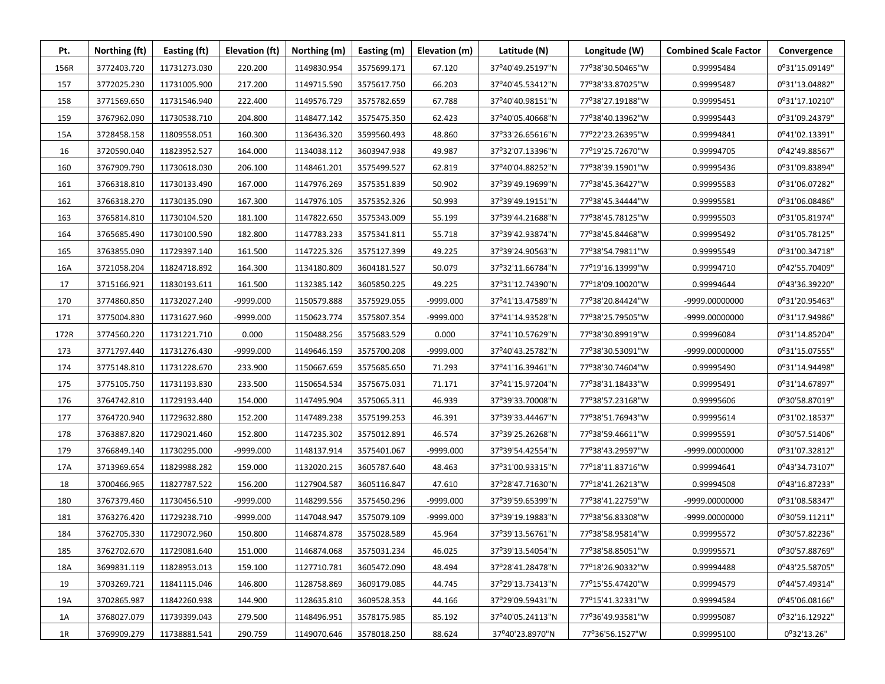| Pt.  | Northing (ft) | Easting (ft) | Elevation (ft) | Northing (m) | Easting (m) | Elevation (m) | Latitude (N)     | Longitude (W)    | <b>Combined Scale Factor</b> | Convergence    |
|------|---------------|--------------|----------------|--------------|-------------|---------------|------------------|------------------|------------------------------|----------------|
| 156R | 3772403.720   | 11731273.030 | 220.200        | 1149830.954  | 3575699.171 | 67.120        | 37°40'49.25197"N | 77°38'30.50465"W | 0.99995484                   | 0°31'15.09149" |
| 157  | 3772025.230   | 11731005.900 | 217.200        | 1149715.590  | 3575617.750 | 66.203        | 37°40'45.53412"N | 77°38'33.87025"W | 0.99995487                   | 0°31'13.04882" |
| 158  | 3771569.650   | 11731546.940 | 222.400        | 1149576.729  | 3575782.659 | 67.788        | 37°40'40.98151"N | 77°38'27.19188"W | 0.99995451                   | 0°31'17.10210" |
| 159  | 3767962.090   | 11730538.710 | 204.800        | 1148477.142  | 3575475.350 | 62.423        | 37°40'05.40668"N | 77°38'40.13962"W | 0.99995443                   | 0°31'09.24379" |
| 15A  | 3728458.158   | 11809558.051 | 160.300        | 1136436.320  | 3599560.493 | 48.860        | 37°33'26.65616"N | 77°22'23.26395"W | 0.99994841                   | 0°41'02.13391" |
| 16   | 3720590.040   | 11823952.527 | 164.000        | 1134038.112  | 3603947.938 | 49.987        | 37°32'07.13396"N | 77°19'25.72670"W | 0.99994705                   | 0°42'49.88567" |
| 160  | 3767909.790   | 11730618.030 | 206.100        | 1148461.201  | 3575499.527 | 62.819        | 37°40'04.88252"N | 77°38'39.15901"W | 0.99995436                   | 0°31'09.83894" |
| 161  | 3766318.810   | 11730133.490 | 167.000        | 1147976.269  | 3575351.839 | 50.902        | 37°39'49.19699"N | 77°38'45.36427"W | 0.99995583                   | 0°31'06.07282" |
| 162  | 3766318.270   | 11730135.090 | 167.300        | 1147976.105  | 3575352.326 | 50.993        | 37°39'49.19151"N | 77°38'45.34444"W | 0.99995581                   | 0°31'06.08486" |
| 163  | 3765814.810   | 11730104.520 | 181.100        | 1147822.650  | 3575343.009 | 55.199        | 37°39'44.21688"N | 77°38'45.78125"W | 0.99995503                   | 0°31'05.81974" |
| 164  | 3765685.490   | 11730100.590 | 182.800        | 1147783.233  | 3575341.811 | 55.718        | 37°39'42.93874"N | 77°38'45.84468"W | 0.99995492                   | 0°31'05.78125" |
| 165  | 3763855.090   | 11729397.140 | 161.500        | 1147225.326  | 3575127.399 | 49.225        | 37°39'24.90563"N | 77°38'54.79811"W | 0.99995549                   | 0°31'00.34718" |
| 16A  | 3721058.204   | 11824718.892 | 164.300        | 1134180.809  | 3604181.527 | 50.079        | 37°32'11.66784"N | 77°19'16.13999"W | 0.99994710                   | 0°42'55.70409" |
| 17   | 3715166.921   | 11830193.611 | 161.500        | 1132385.142  | 3605850.225 | 49.225        | 37°31'12.74390"N | 77°18'09.10020"W | 0.99994644                   | 0°43'36.39220" |
| 170  | 3774860.850   | 11732027.240 | -9999.000      | 1150579.888  | 3575929.055 | -9999.000     | 37°41'13.47589"N | 77°38'20.84424"W | -9999.00000000               | 0°31'20.95463" |
| 171  | 3775004.830   | 11731627.960 | -9999.000      | 1150623.774  | 3575807.354 | -9999.000     | 37°41'14.93528"N | 77°38'25.79505"W | -9999.00000000               | 0°31'17.94986" |
| 172R | 3774560.220   | 11731221.710 | 0.000          | 1150488.256  | 3575683.529 | 0.000         | 37°41'10.57629"N | 77°38'30.89919"W | 0.99996084                   | 0°31'14.85204" |
| 173  | 3771797.440   | 11731276.430 | -9999.000      | 1149646.159  | 3575700.208 | -9999.000     | 37°40'43.25782"N | 77°38'30.53091"W | -9999.00000000               | 0°31'15.07555" |
| 174  | 3775148.810   | 11731228.670 | 233.900        | 1150667.659  | 3575685.650 | 71.293        | 37°41'16.39461"N | 77°38'30.74604"W | 0.99995490                   | 0°31'14.94498" |
| 175  | 3775105.750   | 11731193.830 | 233.500        | 1150654.534  | 3575675.031 | 71.171        | 37°41'15.97204"N | 77°38'31.18433"W | 0.99995491                   | 0°31'14.67897" |
| 176  | 3764742.810   | 11729193.440 | 154.000        | 1147495.904  | 3575065.311 | 46.939        | 37°39'33.70008"N | 77°38'57.23168"W | 0.99995606                   | 0°30'58.87019" |
| 177  | 3764720.940   | 11729632.880 | 152.200        | 1147489.238  | 3575199.253 | 46.391        | 37°39'33.44467"N | 77°38'51.76943"W | 0.99995614                   | 0°31'02.18537" |
| 178  | 3763887.820   | 11729021.460 | 152.800        | 1147235.302  | 3575012.891 | 46.574        | 37°39'25.26268"N | 77°38'59.46611"W | 0.99995591                   | 0°30'57.51406" |
| 179  | 3766849.140   | 11730295.000 | -9999.000      | 1148137.914  | 3575401.067 | -9999.000     | 37°39'54.42554"N | 77°38'43.29597"W | -9999.00000000               | 0°31'07.32812" |
| 17A  | 3713969.654   | 11829988.282 | 159.000        | 1132020.215  | 3605787.640 | 48.463        | 37°31'00.93315"N | 77°18'11.83716"W | 0.99994641                   | 0°43'34.73107" |
| 18   | 3700466.965   | 11827787.522 | 156.200        | 1127904.587  | 3605116.847 | 47.610        | 37°28'47.71630"N | 77°18'41.26213"W | 0.99994508                   | 0°43'16.87233" |
| 180  | 3767379.460   | 11730456.510 | -9999.000      | 1148299.556  | 3575450.296 | -9999.000     | 37°39'59.65399"N | 77°38'41.22759"W | -9999.00000000               | 0°31'08.58347" |
| 181  | 3763276.420   | 11729238.710 | -9999.000      | 1147048.947  | 3575079.109 | -9999.000     | 37°39'19.19883"N | 77°38'56.83308"W | -9999.00000000               | 0°30'59.11211" |
| 184  | 3762705.330   | 11729072.960 | 150.800        | 1146874.878  | 3575028.589 | 45.964        | 37°39'13.56761"N | 77°38'58.95814"W | 0.99995572                   | 0°30'57.82236" |
| 185  | 3762702.670   | 11729081.640 | 151.000        | 1146874.068  | 3575031.234 | 46.025        | 37°39'13.54054"N | 77°38'58.85051"W | 0.99995571                   | 0°30'57.88769" |
| 18A  | 3699831.119   | 11828953.013 | 159.100        | 1127710.781  | 3605472.090 | 48.494        | 37°28'41.28478"N | 77°18'26.90332"W | 0.99994488                   | 0°43'25.58705" |
| 19   | 3703269.721   | 11841115.046 | 146.800        | 1128758.869  | 3609179.085 | 44.745        | 37°29'13.73413"N | 77°15'55.47420"W | 0.99994579                   | 0°44'57.49314" |
| 19A  | 3702865.987   | 11842260.938 | 144.900        | 1128635.810  | 3609528.353 | 44.166        | 37°29'09.59431"N | 77°15'41.32331"W | 0.99994584                   | 0°45'06.08166" |
| 1A   | 3768027.079   | 11739399.043 | 279.500        | 1148496.951  | 3578175.985 | 85.192        | 37°40'05.24113"N | 77°36'49.93581"W | 0.99995087                   | 0°32'16.12922" |
| 1R   | 3769909.279   | 11738881.541 | 290.759        | 1149070.646  | 3578018.250 | 88.624        | 37°40'23.8970"N  | 77°36'56.1527"W  | 0.99995100                   | 0°32'13.26"    |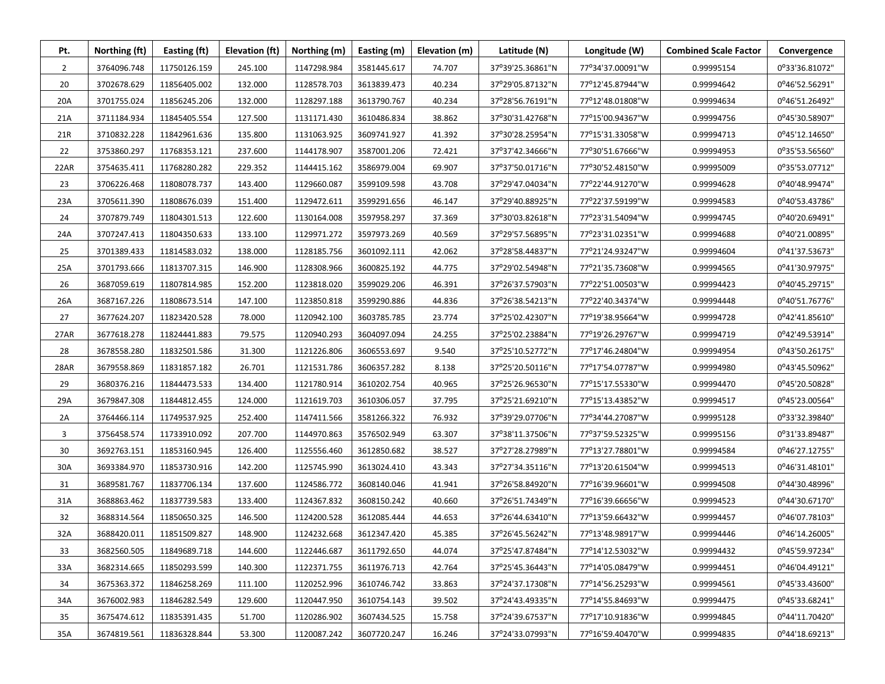| Pt.            | Northing (ft) | Easting (ft) | Elevation (ft) | Northing (m) | Easting (m) | Elevation (m) | Latitude (N)     | Longitude (W)    | <b>Combined Scale Factor</b> | Convergence    |
|----------------|---------------|--------------|----------------|--------------|-------------|---------------|------------------|------------------|------------------------------|----------------|
| $\overline{2}$ | 3764096.748   | 11750126.159 | 245.100        | 1147298.984  | 3581445.617 | 74.707        | 37°39'25.36861"N | 77°34'37.00091"W | 0.99995154                   | 0°33'36.81072" |
| 20             | 3702678.629   | 11856405.002 | 132.000        | 1128578.703  | 3613839.473 | 40.234        | 37°29'05.87132"N | 77°12'45.87944"W | 0.99994642                   | 0°46'52.56291" |
| 20A            | 3701755.024   | 11856245.206 | 132.000        | 1128297.188  | 3613790.767 | 40.234        | 37°28'56.76191"N | 77°12'48.01808"W | 0.99994634                   | 0°46'51.26492" |
| 21A            | 3711184.934   | 11845405.554 | 127.500        | 1131171.430  | 3610486.834 | 38.862        | 37°30'31.42768"N | 77°15'00.94367"W | 0.99994756                   | 0°45'30.58907" |
| 21R            | 3710832.228   | 11842961.636 | 135.800        | 1131063.925  | 3609741.927 | 41.392        | 37°30'28.25954"N | 77°15'31.33058"W | 0.99994713                   | 0°45'12.14650" |
| 22             | 3753860.297   | 11768353.121 | 237.600        | 1144178.907  | 3587001.206 | 72.421        | 37°37'42.34666"N | 77°30'51.67666"W | 0.99994953                   | 0°35'53.56560" |
| 22AR           | 3754635.411   | 11768280.282 | 229.352        | 1144415.162  | 3586979.004 | 69.907        | 37°37'50.01716"N | 77°30'52.48150"W | 0.99995009                   | 0°35'53.07712" |
| 23             | 3706226.468   | 11808078.737 | 143.400        | 1129660.087  | 3599109.598 | 43.708        | 37°29'47.04034"N | 77°22'44.91270"W | 0.99994628                   | 0°40'48.99474" |
| 23A            | 3705611.390   | 11808676.039 | 151.400        | 1129472.611  | 3599291.656 | 46.147        | 37°29'40.88925"N | 77°22'37.59199"W | 0.99994583                   | 0°40'53.43786" |
| 24             | 3707879.749   | 11804301.513 | 122.600        | 1130164.008  | 3597958.297 | 37.369        | 37°30'03.82618"N | 77°23'31.54094"W | 0.99994745                   | 0°40'20.69491" |
| 24A            | 3707247.413   | 11804350.633 | 133.100        | 1129971.272  | 3597973.269 | 40.569        | 37°29'57.56895"N | 77°23'31.02351"W | 0.99994688                   | 0°40'21.00895" |
| 25             | 3701389.433   | 11814583.032 | 138.000        | 1128185.756  | 3601092.111 | 42.062        | 37°28'58.44837"N | 77°21'24.93247"W | 0.99994604                   | 0°41'37.53673" |
| 25A            | 3701793.666   | 11813707.315 | 146.900        | 1128308.966  | 3600825.192 | 44.775        | 37°29'02.54948"N | 77°21'35.73608"W | 0.99994565                   | 0°41'30.97975" |
| 26             | 3687059.619   | 11807814.985 | 152.200        | 1123818.020  | 3599029.206 | 46.391        | 37°26'37.57903"N | 77°22'51.00503"W | 0.99994423                   | 0°40'45.29715" |
| 26A            | 3687167.226   | 11808673.514 | 147.100        | 1123850.818  | 3599290.886 | 44.836        | 37°26'38.54213"N | 77°22'40.34374"W | 0.99994448                   | 0°40'51.76776" |
| 27             | 3677624.207   | 11823420.528 | 78.000         | 1120942.100  | 3603785.785 | 23.774        | 37°25'02.42307"N | 77°19'38.95664"W | 0.99994728                   | 0°42'41.85610" |
| 27AR           | 3677618.278   | 11824441.883 | 79.575         | 1120940.293  | 3604097.094 | 24.255        | 37°25'02.23884"N | 77°19'26.29767"W | 0.99994719                   | 0°42'49.53914" |
| 28             | 3678558.280   | 11832501.586 | 31.300         | 1121226.806  | 3606553.697 | 9.540         | 37°25'10.52772"N | 77°17'46.24804"W | 0.99994954                   | 0°43'50.26175" |
| 28AR           | 3679558.869   | 11831857.182 | 26.701         | 1121531.786  | 3606357.282 | 8.138         | 37°25'20.50116"N | 77°17'54.07787"W | 0.99994980                   | 0°43'45.50962" |
| 29             | 3680376.216   | 11844473.533 | 134.400        | 1121780.914  | 3610202.754 | 40.965        | 37°25'26.96530"N | 77°15'17.55330"W | 0.99994470                   | 0°45'20.50828" |
| 29A            | 3679847.308   | 11844812.455 | 124.000        | 1121619.703  | 3610306.057 | 37.795        | 37°25'21.69210"N | 77°15'13.43852"W | 0.99994517                   | 0°45'23.00564" |
| 2A             | 3764466.114   | 11749537.925 | 252.400        | 1147411.566  | 3581266.322 | 76.932        | 37°39'29.07706"N | 77°34'44.27087"W | 0.99995128                   | 0°33'32.39840" |
| 3              | 3756458.574   | 11733910.092 | 207.700        | 1144970.863  | 3576502.949 | 63.307        | 37°38'11.37506"N | 77°37'59.52325"W | 0.99995156                   | 0°31'33.89487" |
| 30             | 3692763.151   | 11853160.945 | 126.400        | 1125556.460  | 3612850.682 | 38.527        | 37°27'28.27989"N | 77°13'27.78801"W | 0.99994584                   | 0°46'27.12755" |
| 30A            | 3693384.970   | 11853730.916 | 142.200        | 1125745.990  | 3613024.410 | 43.343        | 37°27'34.35116"N | 77°13'20.61504"W | 0.99994513                   | 0°46'31.48101" |
| 31             | 3689581.767   | 11837706.134 | 137.600        | 1124586.772  | 3608140.046 | 41.941        | 37°26'58.84920"N | 77°16'39.96601"W | 0.99994508                   | 0°44'30.48996" |
| 31A            | 3688863.462   | 11837739.583 | 133.400        | 1124367.832  | 3608150.242 | 40.660        | 37°26'51.74349"N | 77°16'39.66656"W | 0.99994523                   | 0°44'30.67170" |
| 32             | 3688314.564   | 11850650.325 | 146.500        | 1124200.528  | 3612085.444 | 44.653        | 37°26'44.63410"N | 77°13'59.66432"W | 0.99994457                   | 0°46'07.78103" |
| 32A            | 3688420.011   | 11851509.827 | 148.900        | 1124232.668  | 3612347.420 | 45.385        | 37°26'45.56242"N | 77°13'48.98917"W | 0.99994446                   | 0°46'14.26005" |
| 33             | 3682560.505   | 11849689.718 | 144.600        | 1122446.687  | 3611792.650 | 44.074        | 37°25'47.87484"N | 77°14'12.53032"W | 0.99994432                   | 0°45'59.97234" |
| 33A            | 3682314.665   | 11850293.599 | 140.300        | 1122371.755  | 3611976.713 | 42.764        | 37°25'45.36443"N | 77°14'05.08479"W | 0.99994451                   | 0°46'04.49121" |
| 34             | 3675363.372   | 11846258.269 | 111.100        | 1120252.996  | 3610746.742 | 33.863        | 37°24'37.17308"N | 77°14'56.25293"W | 0.99994561                   | 0°45'33.43600" |
| 34A            | 3676002.983   | 11846282.549 | 129.600        | 1120447.950  | 3610754.143 | 39.502        | 37°24'43.49335"N | 77°14'55.84693"W | 0.99994475                   | 0°45'33.68241" |
| 35             | 3675474.612   | 11835391.435 | 51.700         | 1120286.902  | 3607434.525 | 15.758        | 37°24'39.67537"N | 77°17'10.91836"W | 0.99994845                   | 0°44'11.70420" |
| 35A            | 3674819.561   | 11836328.844 | 53.300         | 1120087.242  | 3607720.247 | 16.246        | 37°24'33.07993"N | 77°16'59.40470"W | 0.99994835                   | 0°44'18.69213" |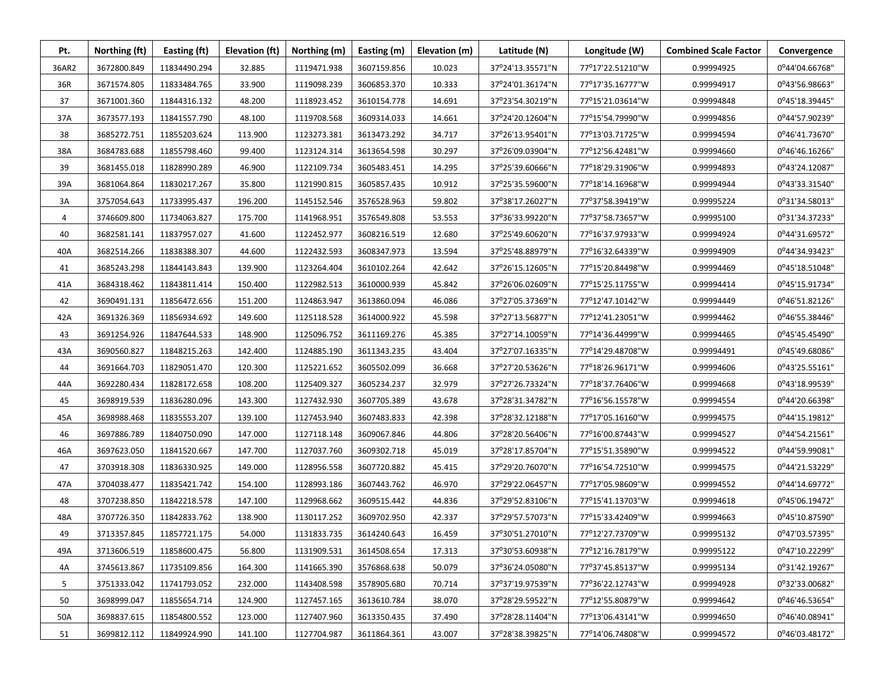| Pt.   | Northing (ft) | Easting (ft) | Elevation (ft) | Northing (m) | Easting (m) | Elevation (m) | Latitude (N)     | Longitude (W)    | <b>Combined Scale Factor</b> | Convergence    |
|-------|---------------|--------------|----------------|--------------|-------------|---------------|------------------|------------------|------------------------------|----------------|
| 36AR2 | 3672800.849   | 11834490.294 | 32.885         | 1119471.938  | 3607159.856 | 10.023        | 37°24'13.35571"N | 77°17'22.51210"W | 0.99994925                   | 0°44'04.66768" |
| 36R   | 3671574.805   | 11833484.765 | 33.900         | 1119098.239  | 3606853.370 | 10.333        | 37°24'01.36174"N | 77°17'35.16777"W | 0.99994917                   | 0°43'56.98663" |
| 37    | 3671001.360   | 11844316.132 | 48.200         | 1118923.452  | 3610154.778 | 14.691        | 37°23'54.30219"N | 77°15'21.03614"W | 0.99994848                   | 0°45'18.39445" |
| 37A   | 3673577.193   | 11841557.790 | 48.100         | 1119708.568  | 3609314.033 | 14.661        | 37°24'20.12604"N | 77°15'54.79990"W | 0.99994856                   | 0°44'57.90239" |
| 38    | 3685272.751   | 11855203.624 | 113.900        | 1123273.381  | 3613473.292 | 34.717        | 37°26'13.95401"N | 77°13'03.71725"W | 0.99994594                   | 0°46'41.73670" |
| 38A   | 3684783.688   | 11855798.460 | 99.400         | 1123124.314  | 3613654.598 | 30.297        | 37°26'09.03904"N | 77°12'56.42481"W | 0.99994660                   | 0°46'46.16266" |
| 39    | 3681455.018   | 11828990.289 | 46.900         | 1122109.734  | 3605483.451 | 14.295        | 37°25'39.60666"N | 77°18'29.31906"W | 0.99994893                   | 0°43'24.12087" |
| 39A   | 3681064.864   | 11830217.267 | 35.800         | 1121990.815  | 3605857.435 | 10.912        | 37°25'35.59600"N | 77°18'14.16968"W | 0.99994944                   | 0°43'33.31540" |
| 3A    | 3757054.643   | 11733995.437 | 196.200        | 1145152.546  | 3576528.963 | 59.802        | 37°38'17.26027"N | 77°37'58.39419"W | 0.99995224                   | 0°31'34.58013" |
| 4     | 3746609.800   | 11734063.827 | 175.700        | 1141968.951  | 3576549.808 | 53.553        | 37°36'33.99220"N | 77°37'58.73657"W | 0.99995100                   | 0°31'34.37233" |
| 40    | 3682581.141   | 11837957.027 | 41.600         | 1122452.977  | 3608216.519 | 12.680        | 37°25'49.60620"N | 77°16'37.97933"W | 0.99994924                   | 0°44'31.69572" |
| 40A   | 3682514.266   | 11838388.307 | 44.600         | 1122432.593  | 3608347.973 | 13.594        | 37°25'48.88979"N | 77°16'32.64339"W | 0.99994909                   | 0°44'34.93423" |
| 41    | 3685243.298   | 11844143.843 | 139.900        | 1123264.404  | 3610102.264 | 42.642        | 37°26'15.12605"N | 77°15'20.84498"W | 0.99994469                   | 0°45'18.51048" |
| 41A   | 3684318.462   | 11843811.414 | 150.400        | 1122982.513  | 3610000.939 | 45.842        | 37°26'06.02609"N | 77°15'25.11755"W | 0.99994414                   | 0°45'15.91734" |
| 42    | 3690491.131   | 11856472.656 | 151.200        | 1124863.947  | 3613860.094 | 46.086        | 37°27'05.37369"N | 77°12'47.10142"W | 0.99994449                   | 0°46'51.82126" |
| 42A   | 3691326.369   | 11856934.692 | 149.600        | 1125118.528  | 3614000.922 | 45.598        | 37°27'13.56877"N | 77°12'41.23051"W | 0.99994462                   | 0°46'55.38446" |
| 43    | 3691254.926   | 11847644.533 | 148.900        | 1125096.752  | 3611169.276 | 45.385        | 37°27'14.10059"N | 77°14'36.44999"W | 0.99994465                   | 0°45'45.45490" |
| 43A   | 3690560.827   | 11848215.263 | 142.400        | 1124885.190  | 3611343.235 | 43.404        | 37°27'07.16335"N | 77°14'29.48708"W | 0.99994491                   | 0°45'49.68086" |
| 44    | 3691664.703   | 11829051.470 | 120.300        | 1125221.652  | 3605502.099 | 36.668        | 37°27'20.53626"N | 77°18'26.96171"W | 0.99994606                   | 0°43'25.55161" |
| 44A   | 3692280.434   | 11828172.658 | 108.200        | 1125409.327  | 3605234.237 | 32.979        | 37°27'26.73324"N | 77°18'37.76406"W | 0.99994668                   | 0°43'18.99539" |
| 45    | 3698919.539   | 11836280.096 | 143.300        | 1127432.930  | 3607705.389 | 43.678        | 37°28'31.34782"N | 77°16'56.15578"W | 0.99994554                   | 0°44'20.66398" |
| 45A   | 3698988.468   | 11835553.207 | 139.100        | 1127453.940  | 3607483.833 | 42.398        | 37°28'32.12188"N | 77°17'05.16160"W | 0.99994575                   | 0°44'15.19812" |
| 46    | 3697886.789   | 11840750.090 | 147.000        | 1127118.148  | 3609067.846 | 44.806        | 37°28'20.56406"N | 77°16'00.87443"W | 0.99994527                   | 0°44'54.21561" |
| 46A   | 3697623.050   | 11841520.667 | 147.700        | 1127037.760  | 3609302.718 | 45.019        | 37°28'17.85704"N | 77°15'51.35890"W | 0.99994522                   | 0°44'59.99081" |
| 47    | 3703918.308   | 11836330.925 | 149.000        | 1128956.558  | 3607720.882 | 45.415        | 37°29'20.76070"N | 77°16'54.72510"W | 0.99994575                   | 0°44'21.53229" |
| 47A   | 3704038.477   | 11835421.742 | 154.100        | 1128993.186  | 3607443.762 | 46.970        | 37°29'22.06457"N | 77°17'05.98609"W | 0.99994552                   | 0°44'14.69772" |
| 48    | 3707238.850   | 11842218.578 | 147.100        | 1129968.662  | 3609515.442 | 44.836        | 37°29'52.83106"N | 77°15'41.13703"W | 0.99994618                   | 0°45'06.19472" |
| 48A   | 3707726.350   | 11842833.762 | 138.900        | 1130117.252  | 3609702.950 | 42.337        | 37°29'57.57073"N | 77°15'33.42409"W | 0.99994663                   | 0°45'10.87590" |
| 49    | 3713357.845   | 11857721.175 | 54.000         | 1131833.735  | 3614240.643 | 16.459        | 37°30'51.27010"N | 77°12'27.73709"W | 0.99995132                   | 0°47'03.57395" |
| 49A   | 3713606.519   | 11858600.475 | 56.800         | 1131909.531  | 3614508.654 | 17.313        | 37°30'53.60938"N | 77°12'16.78179"W | 0.99995122                   | 0°47'10.22299" |
| 4A    | 3745613.867   | 11735109.856 | 164.300        | 1141665.390  | 3576868.638 | 50.079        | 37°36'24.05080"N | 77°37'45.85137"W | 0.99995134                   | 0°31'42.19267" |
| 5     | 3751333.042   | 11741793.052 | 232.000        | 1143408.598  | 3578905.680 | 70.714        | 37°37'19.97539"N | 77°36'22.12743"W | 0.99994928                   | 0°32'33.00682" |
| 50    | 3698999.047   | 11855654.714 | 124.900        | 1127457.165  | 3613610.784 | 38.070        | 37°28'29.59522"N | 77°12'55.80879"W | 0.99994642                   | 0°46'46.53654" |
| 50A   | 3698837.615   | 11854800.552 | 123.000        | 1127407.960  | 3613350.435 | 37.490        | 37°28'28.11404"N | 77°13'06.43141"W | 0.99994650                   | 0°46'40.08941" |
| 51    | 3699812.112   | 11849924.990 | 141.100        | 1127704.987  | 3611864.361 | 43.007        | 37°28'38.39825"N | 77°14'06.74808"W | 0.99994572                   | 0°46'03.48172" |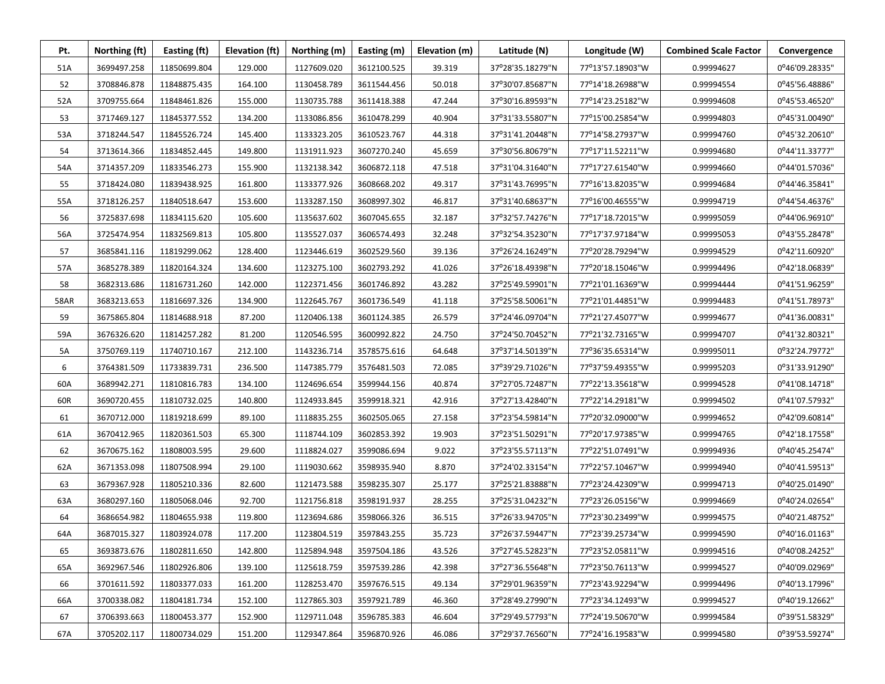| Pt.         | Northing (ft) | Easting (ft) | Elevation (ft) | Northing (m) | Easting (m) | Elevation (m) | Latitude (N)     | Longitude (W)    | <b>Combined Scale Factor</b> | Convergence    |
|-------------|---------------|--------------|----------------|--------------|-------------|---------------|------------------|------------------|------------------------------|----------------|
| 51A         | 3699497.258   | 11850699.804 | 129.000        | 1127609.020  | 3612100.525 | 39.319        | 37°28'35.18279"N | 77°13'57.18903"W | 0.99994627                   | 0°46'09.28335" |
| 52          | 3708846.878   | 11848875.435 | 164.100        | 1130458.789  | 3611544.456 | 50.018        | 37°30'07.85687"N | 77°14'18.26988"W | 0.99994554                   | 0°45'56.48886" |
| 52A         | 3709755.664   | 11848461.826 | 155.000        | 1130735.788  | 3611418.388 | 47.244        | 37°30'16.89593"N | 77°14'23.25182"W | 0.99994608                   | 0°45'53.46520" |
| 53          | 3717469.127   | 11845377.552 | 134.200        | 1133086.856  | 3610478.299 | 40.904        | 37°31'33.55807"N | 77°15'00.25854"W | 0.99994803                   | 0°45'31.00490" |
| 53A         | 3718244.547   | 11845526.724 | 145.400        | 1133323.205  | 3610523.767 | 44.318        | 37°31'41.20448"N | 77°14'58.27937"W | 0.99994760                   | 0°45'32.20610" |
| 54          | 3713614.366   | 11834852.445 | 149.800        | 1131911.923  | 3607270.240 | 45.659        | 37°30'56.80679"N | 77°17'11.52211"W | 0.99994680                   | 0°44'11.33777" |
| 54A         | 3714357.209   | 11833546.273 | 155.900        | 1132138.342  | 3606872.118 | 47.518        | 37°31'04.31640"N | 77°17'27.61540"W | 0.99994660                   | 0°44'01.57036" |
| 55          | 3718424.080   | 11839438.925 | 161.800        | 1133377.926  | 3608668.202 | 49.317        | 37°31'43.76995"N | 77°16'13.82035"W | 0.99994684                   | 0°44'46.35841" |
| 55A         | 3718126.257   | 11840518.647 | 153.600        | 1133287.150  | 3608997.302 | 46.817        | 37°31'40.68637"N | 77°16'00.46555"W | 0.99994719                   | 0°44'54.46376" |
| 56          | 3725837.698   | 11834115.620 | 105.600        | 1135637.602  | 3607045.655 | 32.187        | 37°32'57.74276"N | 77°17'18.72015"W | 0.99995059                   | 0°44'06.96910" |
| 56A         | 3725474.954   | 11832569.813 | 105.800        | 1135527.037  | 3606574.493 | 32.248        | 37°32'54.35230"N | 77°17'37.97184"W | 0.99995053                   | 0°43'55.28478" |
| 57          | 3685841.116   | 11819299.062 | 128.400        | 1123446.619  | 3602529.560 | 39.136        | 37°26'24.16249"N | 77°20'28.79294"W | 0.99994529                   | 0°42'11.60920" |
| 57A         | 3685278.389   | 11820164.324 | 134.600        | 1123275.100  | 3602793.292 | 41.026        | 37°26'18.49398"N | 77°20'18.15046"W | 0.99994496                   | 0°42'18.06839" |
| 58          | 3682313.686   | 11816731.260 | 142.000        | 1122371.456  | 3601746.892 | 43.282        | 37°25'49.59901"N | 77°21'01.16369"W | 0.99994444                   | 0°41'51.96259" |
| <b>58AR</b> | 3683213.653   | 11816697.326 | 134.900        | 1122645.767  | 3601736.549 | 41.118        | 37°25'58.50061"N | 77°21'01.44851"W | 0.99994483                   | 0°41'51.78973" |
| 59          | 3675865.804   | 11814688.918 | 87.200         | 1120406.138  | 3601124.385 | 26.579        | 37°24'46.09704"N | 77°21'27.45077"W | 0.99994677                   | 0°41'36.00831" |
| 59A         | 3676326.620   | 11814257.282 | 81.200         | 1120546.595  | 3600992.822 | 24.750        | 37°24'50.70452"N | 77°21'32.73165"W | 0.99994707                   | 0°41'32.80321" |
| 5A          | 3750769.119   | 11740710.167 | 212.100        | 1143236.714  | 3578575.616 | 64.648        | 37°37'14.50139"N | 77°36'35.65314"W | 0.99995011                   | 0°32'24.79772" |
| 6           | 3764381.509   | 11733839.731 | 236.500        | 1147385.779  | 3576481.503 | 72.085        | 37°39'29.71026"N | 77°37'59.49355"W | 0.99995203                   | 0°31'33.91290" |
| 60A         | 3689942.271   | 11810816.783 | 134.100        | 1124696.654  | 3599944.156 | 40.874        | 37°27'05.72487"N | 77°22'13.35618"W | 0.99994528                   | 0°41'08.14718" |
| 60R         | 3690720.455   | 11810732.025 | 140.800        | 1124933.845  | 3599918.321 | 42.916        | 37°27'13.42840"N | 77°22'14.29181"W | 0.99994502                   | 0°41'07.57932" |
| 61          | 3670712.000   | 11819218.699 | 89.100         | 1118835.255  | 3602505.065 | 27.158        | 37°23'54.59814"N | 77°20'32.09000"W | 0.99994652                   | 0°42'09.60814" |
| 61A         | 3670412.965   | 11820361.503 | 65.300         | 1118744.109  | 3602853.392 | 19.903        | 37°23'51.50291"N | 77°20'17.97385"W | 0.99994765                   | 0°42'18.17558" |
| 62          | 3670675.162   | 11808003.595 | 29.600         | 1118824.027  | 3599086.694 | 9.022         | 37°23'55.57113"N | 77°22'51.07491"W | 0.99994936                   | 0°40'45.25474" |
| 62A         | 3671353.098   | 11807508.994 | 29.100         | 1119030.662  | 3598935.940 | 8.870         | 37°24'02.33154"N | 77°22'57.10467"W | 0.99994940                   | 0°40'41.59513" |
| 63          | 3679367.928   | 11805210.336 | 82.600         | 1121473.588  | 3598235.307 | 25.177        | 37°25'21.83888"N | 77°23'24.42309"W | 0.99994713                   | 0°40'25.01490" |
| 63A         | 3680297.160   | 11805068.046 | 92.700         | 1121756.818  | 3598191.937 | 28.255        | 37°25'31.04232"N | 77°23'26.05156"W | 0.99994669                   | 0°40'24.02654" |
| 64          | 3686654.982   | 11804655.938 | 119.800        | 1123694.686  | 3598066.326 | 36.515        | 37°26'33.94705"N | 77°23'30.23499"W | 0.99994575                   | 0°40'21.48752" |
| 64A         | 3687015.327   | 11803924.078 | 117.200        | 1123804.519  | 3597843.255 | 35.723        | 37°26'37.59447"N | 77°23'39.25734"W | 0.99994590                   | 0°40'16.01163" |
| 65          | 3693873.676   | 11802811.650 | 142.800        | 1125894.948  | 3597504.186 | 43.526        | 37°27'45.52823"N | 77°23'52.05811"W | 0.99994516                   | 0°40'08.24252" |
| 65A         | 3692967.546   | 11802926.806 | 139.100        | 1125618.759  | 3597539.286 | 42.398        | 37°27'36.55648"N | 77°23'50.76113"W | 0.99994527                   | 0°40'09.02969" |
| 66          | 3701611.592   | 11803377.033 | 161.200        | 1128253.470  | 3597676.515 | 49.134        | 37°29'01.96359"N | 77°23'43.92294"W | 0.99994496                   | 0°40'13.17996" |
| 66A         | 3700338.082   | 11804181.734 | 152.100        | 1127865.303  | 3597921.789 | 46.360        | 37°28'49.27990"N | 77°23'34.12493"W | 0.99994527                   | 0°40'19.12662" |
| 67          | 3706393.663   | 11800453.377 | 152.900        | 1129711.048  | 3596785.383 | 46.604        | 37°29'49.57793"N | 77°24'19.50670"W | 0.99994584                   | 0°39'51.58329" |
| 67A         | 3705202.117   | 11800734.029 | 151.200        | 1129347.864  | 3596870.926 | 46.086        | 37°29'37.76560"N | 77°24'16.19583"W | 0.99994580                   | 0°39'53.59274" |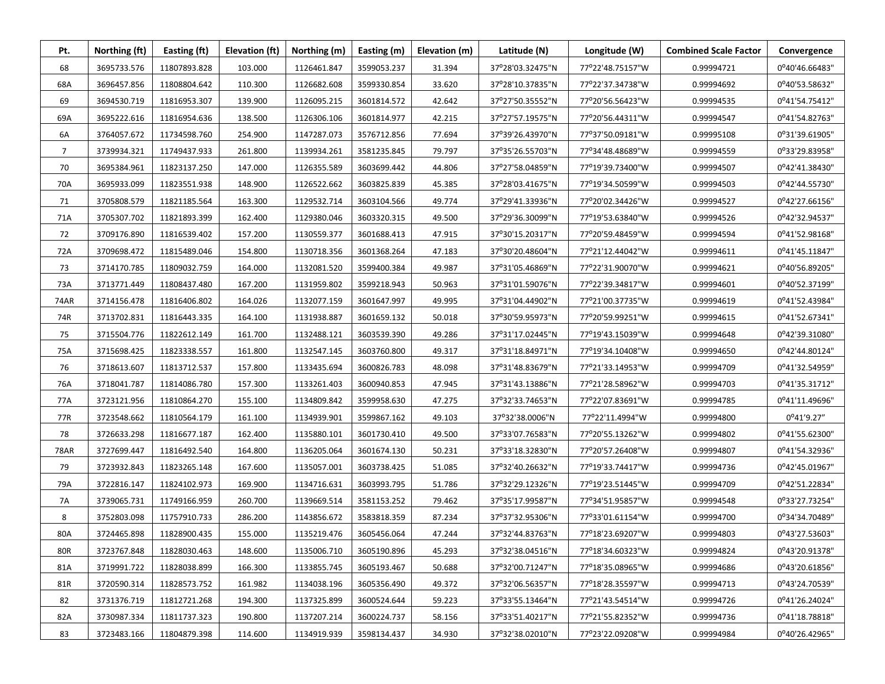| Pt.            | Northing (ft) | Easting (ft) | Elevation (ft) | Northing (m) | Easting (m) | Elevation (m) | Latitude (N)     | Longitude (W)    | <b>Combined Scale Factor</b> | Convergence    |
|----------------|---------------|--------------|----------------|--------------|-------------|---------------|------------------|------------------|------------------------------|----------------|
| 68             | 3695733.576   | 11807893.828 | 103.000        | 1126461.847  | 3599053.237 | 31.394        | 37°28'03.32475"N | 77°22'48.75157"W | 0.99994721                   | 0°40'46.66483" |
| 68A            | 3696457.856   | 11808804.642 | 110.300        | 1126682.608  | 3599330.854 | 33.620        | 37°28'10.37835"N | 77°22'37.34738"W | 0.99994692                   | 0°40'53.58632" |
| 69             | 3694530.719   | 11816953.307 | 139.900        | 1126095.215  | 3601814.572 | 42.642        | 37°27'50.35552"N | 77°20'56.56423"W | 0.99994535                   | 0°41'54.75412" |
| 69A            | 3695222.616   | 11816954.636 | 138.500        | 1126306.106  | 3601814.977 | 42.215        | 37°27'57.19575"N | 77°20'56.44311"W | 0.99994547                   | 0°41'54.82763" |
| 6A             | 3764057.672   | 11734598.760 | 254.900        | 1147287.073  | 3576712.856 | 77.694        | 37°39'26.43970"N | 77°37'50.09181"W | 0.99995108                   | 0°31'39.61905" |
| $\overline{7}$ | 3739934.321   | 11749437.933 | 261.800        | 1139934.261  | 3581235.845 | 79.797        | 37°35'26.55703"N | 77°34'48.48689"W | 0.99994559                   | 0°33'29.83958" |
| 70             | 3695384.961   | 11823137.250 | 147.000        | 1126355.589  | 3603699.442 | 44.806        | 37°27'58.04859"N | 77°19'39.73400"W | 0.99994507                   | 0°42'41.38430" |
| 70A            | 3695933.099   | 11823551.938 | 148.900        | 1126522.662  | 3603825.839 | 45.385        | 37°28'03.41675"N | 77°19'34.50599"W | 0.99994503                   | 0°42'44.55730" |
| 71             | 3705808.579   | 11821185.564 | 163.300        | 1129532.714  | 3603104.566 | 49.774        | 37°29'41.33936"N | 77°20'02.34426"W | 0.99994527                   | 0°42'27.66156" |
| 71A            | 3705307.702   | 11821893.399 | 162.400        | 1129380.046  | 3603320.315 | 49.500        | 37°29'36.30099"N | 77°19'53.63840"W | 0.99994526                   | 0°42'32.94537" |
| 72             | 3709176.890   | 11816539.402 | 157.200        | 1130559.377  | 3601688.413 | 47.915        | 37°30'15.20317"N | 77°20'59.48459"W | 0.99994594                   | 0°41'52.98168" |
| 72A            | 3709698.472   | 11815489.046 | 154.800        | 1130718.356  | 3601368.264 | 47.183        | 37°30'20.48604"N | 77°21'12.44042"W | 0.99994611                   | 0°41'45.11847" |
| 73             | 3714170.785   | 11809032.759 | 164.000        | 1132081.520  | 3599400.384 | 49.987        | 37°31'05.46869"N | 77°22'31.90070"W | 0.99994621                   | 0°40'56.89205" |
| 73A            | 3713771.449   | 11808437.480 | 167.200        | 1131959.802  | 3599218.943 | 50.963        | 37°31'01.59076"N | 77°22'39.34817"W | 0.99994601                   | 0°40'52.37199" |
| 74AR           | 3714156.478   | 11816406.802 | 164.026        | 1132077.159  | 3601647.997 | 49.995        | 37°31'04.44902"N | 77°21'00.37735"W | 0.99994619                   | 0°41'52.43984" |
| 74R            | 3713702.831   | 11816443.335 | 164.100        | 1131938.887  | 3601659.132 | 50.018        | 37°30'59.95973"N | 77°20'59.99251"W | 0.99994615                   | 0°41'52.67341" |
| 75             | 3715504.776   | 11822612.149 | 161.700        | 1132488.121  | 3603539.390 | 49.286        | 37°31'17.02445"N | 77°19'43.15039"W | 0.99994648                   | 0°42'39.31080" |
| 75A            | 3715698.425   | 11823338.557 | 161.800        | 1132547.145  | 3603760.800 | 49.317        | 37°31'18.84971"N | 77°19'34.10408"W | 0.99994650                   | 0°42'44.80124" |
| 76             | 3718613.607   | 11813712.537 | 157.800        | 1133435.694  | 3600826.783 | 48.098        | 37°31'48.83679"N | 77°21'33.14953"W | 0.99994709                   | 0°41'32.54959" |
| 76A            | 3718041.787   | 11814086.780 | 157.300        | 1133261.403  | 3600940.853 | 47.945        | 37°31'43.13886"N | 77°21'28.58962"W | 0.99994703                   | 0°41'35.31712" |
| 77A            | 3723121.956   | 11810864.270 | 155.100        | 1134809.842  | 3599958.630 | 47.275        | 37°32'33.74653"N | 77°22'07.83691"W | 0.99994785                   | 0°41'11.49696" |
| 77R            | 3723548.662   | 11810564.179 | 161.100        | 1134939.901  | 3599867.162 | 49.103        | 37°32'38.0006"N  | 77°22'11.4994"W  | 0.99994800                   | $0^041'9.27''$ |
| 78             | 3726633.298   | 11816677.187 | 162.400        | 1135880.101  | 3601730.410 | 49.500        | 37°33'07.76583"N | 77°20'55.13262"W | 0.99994802                   | 0°41'55.62300" |
| <b>78AR</b>    | 3727699.447   | 11816492.540 | 164.800        | 1136205.064  | 3601674.130 | 50.231        | 37°33'18.32830"N | 77°20'57.26408"W | 0.99994807                   | 0°41'54.32936" |
| 79             | 3723932.843   | 11823265.148 | 167.600        | 1135057.001  | 3603738.425 | 51.085        | 37°32'40.26632"N | 77°19'33.74417"W | 0.99994736                   | 0°42'45.01967" |
| 79A            | 3722816.147   | 11824102.973 | 169.900        | 1134716.631  | 3603993.795 | 51.786        | 37°32'29.12326"N | 77°19'23.51445"W | 0.99994709                   | 0°42'51.22834" |
| 7A             | 3739065.731   | 11749166.959 | 260.700        | 1139669.514  | 3581153.252 | 79.462        | 37°35'17.99587"N | 77°34'51.95857"W | 0.99994548                   | 0°33'27.73254" |
| 8              | 3752803.098   | 11757910.733 | 286.200        | 1143856.672  | 3583818.359 | 87.234        | 37°37'32.95306"N | 77°33'01.61154"W | 0.99994700                   | 0°34'34.70489" |
| 80A            | 3724465.898   | 11828900.435 | 155.000        | 1135219.476  | 3605456.064 | 47.244        | 37°32'44.83763"N | 77°18'23.69207"W | 0.99994803                   | 0°43'27.53603" |
| <b>80R</b>     | 3723767.848   | 11828030.463 | 148.600        | 1135006.710  | 3605190.896 | 45.293        | 37°32'38.04516"N | 77°18'34.60323"W | 0.99994824                   | 0°43'20.91378" |
| 81A            | 3719991.722   | 11828038.899 | 166.300        | 1133855.745  | 3605193.467 | 50.688        | 37°32'00.71247"N | 77°18'35.08965"W | 0.99994686                   | 0°43'20.61856" |
| 81R            | 3720590.314   | 11828573.752 | 161.982        | 1134038.196  | 3605356.490 | 49.372        | 37°32'06.56357"N | 77°18'28.35597"W | 0.99994713                   | 0°43'24.70539" |
| 82             | 3731376.719   | 11812721.268 | 194.300        | 1137325.899  | 3600524.644 | 59.223        | 37°33'55.13464"N | 77°21'43.54514"W | 0.99994726                   | 0°41'26.24024" |
| 82A            | 3730987.334   | 11811737.323 | 190.800        | 1137207.214  | 3600224.737 | 58.156        | 37°33'51.40217"N | 77°21'55.82352"W | 0.99994736                   | 0°41'18.78818" |
| 83             | 3723483.166   | 11804879.398 | 114.600        | 1134919.939  | 3598134.437 | 34.930        | 37°32'38.02010"N | 77°23'22.09208"W | 0.99994984                   | 0°40'26.42965" |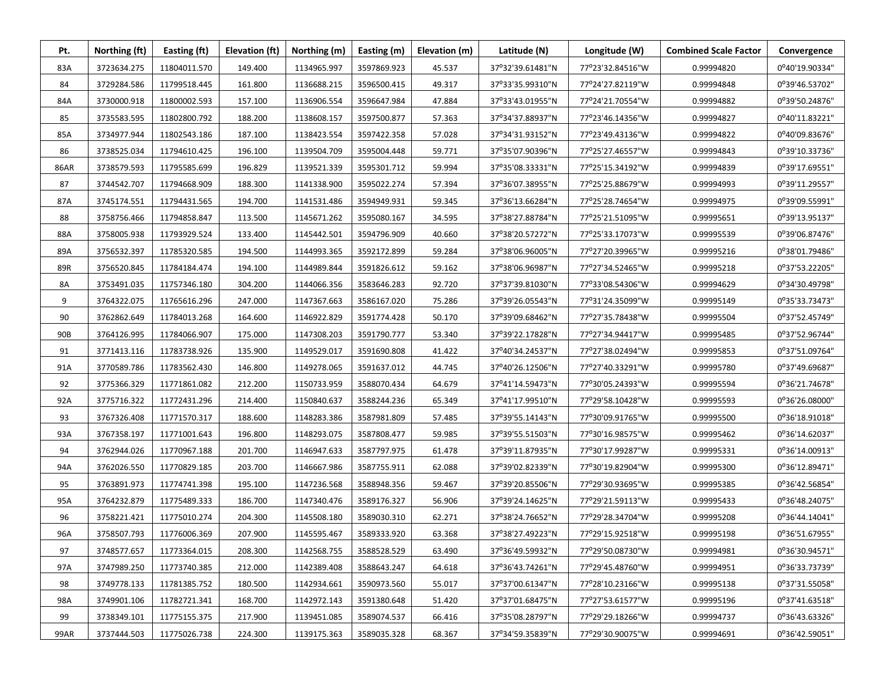| Pt.         | Northing (ft) | Easting (ft) | Elevation (ft) | Northing (m) | Easting (m) | Elevation (m) | Latitude (N)     | Longitude (W)    | <b>Combined Scale Factor</b> | Convergence    |
|-------------|---------------|--------------|----------------|--------------|-------------|---------------|------------------|------------------|------------------------------|----------------|
| 83A         | 3723634.275   | 11804011.570 | 149.400        | 1134965.997  | 3597869.923 | 45.537        | 37°32'39.61481"N | 77°23'32.84516"W | 0.99994820                   | 0°40'19.90334" |
| 84          | 3729284.586   | 11799518.445 | 161.800        | 1136688.215  | 3596500.415 | 49.317        | 37°33'35.99310"N | 77°24'27.82119"W | 0.99994848                   | 0°39'46.53702" |
| 84A         | 3730000.918   | 11800002.593 | 157.100        | 1136906.554  | 3596647.984 | 47.884        | 37°33'43.01955"N | 77°24'21.70554"W | 0.99994882                   | 0°39'50.24876" |
| 85          | 3735583.595   | 11802800.792 | 188.200        | 1138608.157  | 3597500.877 | 57.363        | 37°34'37.88937"N | 77°23'46.14356"W | 0.99994827                   | 0°40'11.83221" |
| 85A         | 3734977.944   | 11802543.186 | 187.100        | 1138423.554  | 3597422.358 | 57.028        | 37°34'31.93152"N | 77°23'49.43136"W | 0.99994822                   | 0°40'09.83676" |
| 86          | 3738525.034   | 11794610.425 | 196.100        | 1139504.709  | 3595004.448 | 59.771        | 37°35'07.90396"N | 77°25'27.46557"W | 0.99994843                   | 0°39'10.33736" |
| <b>86AR</b> | 3738579.593   | 11795585.699 | 196.829        | 1139521.339  | 3595301.712 | 59.994        | 37°35'08.33331"N | 77°25'15.34192"W | 0.99994839                   | 0°39'17.69551" |
| 87          | 3744542.707   | 11794668.909 | 188.300        | 1141338.900  | 3595022.274 | 57.394        | 37°36'07.38955"N | 77°25'25.88679"W | 0.99994993                   | 0°39'11.29557" |
| 87A         | 3745174.551   | 11794431.565 | 194.700        | 1141531.486  | 3594949.931 | 59.345        | 37°36'13.66284"N | 77°25'28.74654"W | 0.99994975                   | 0°39'09.55991" |
| 88          | 3758756.466   | 11794858.847 | 113.500        | 1145671.262  | 3595080.167 | 34.595        | 37°38'27.88784"N | 77°25'21.51095"W | 0.99995651                   | 0°39'13.95137" |
| 88A         | 3758005.938   | 11793929.524 | 133.400        | 1145442.501  | 3594796.909 | 40.660        | 37°38'20.57272"N | 77°25'33.17073"W | 0.99995539                   | 0°39'06.87476" |
| 89A         | 3756532.397   | 11785320.585 | 194.500        | 1144993.365  | 3592172.899 | 59.284        | 37°38'06.96005"N | 77°27'20.39965"W | 0.99995216                   | 0°38'01.79486" |
| 89R         | 3756520.845   | 11784184.474 | 194.100        | 1144989.844  | 3591826.612 | 59.162        | 37°38'06.96987"N | 77°27'34.52465"W | 0.99995218                   | 0°37'53.22205" |
| 8A          | 3753491.035   | 11757346.180 | 304.200        | 1144066.356  | 3583646.283 | 92.720        | 37°37'39.81030"N | 77°33'08.54306"W | 0.99994629                   | 0°34'30.49798" |
| 9           | 3764322.075   | 11765616.296 | 247.000        | 1147367.663  | 3586167.020 | 75.286        | 37°39'26.05543"N | 77°31'24.35099"W | 0.99995149                   | 0°35'33.73473" |
| 90          | 3762862.649   | 11784013.268 | 164.600        | 1146922.829  | 3591774.428 | 50.170        | 37°39'09.68462"N | 77°27'35.78438"W | 0.99995504                   | 0°37'52.45749" |
| 90B         | 3764126.995   | 11784066.907 | 175.000        | 1147308.203  | 3591790.777 | 53.340        | 37°39'22.17828"N | 77°27'34.94417"W | 0.99995485                   | 0°37'52.96744" |
| 91          | 3771413.116   | 11783738.926 | 135.900        | 1149529.017  | 3591690.808 | 41.422        | 37°40'34.24537"N | 77°27'38.02494"W | 0.99995853                   | 0°37'51.09764" |
| 91A         | 3770589.786   | 11783562.430 | 146.800        | 1149278.065  | 3591637.012 | 44.745        | 37°40'26.12506"N | 77°27'40.33291"W | 0.99995780                   | 0°37'49.69687" |
| 92          | 3775366.329   | 11771861.082 | 212.200        | 1150733.959  | 3588070.434 | 64.679        | 37°41'14.59473"N | 77°30'05.24393"W | 0.99995594                   | 0°36'21.74678" |
| 92A         | 3775716.322   | 11772431.296 | 214.400        | 1150840.637  | 3588244.236 | 65.349        | 37°41'17.99510"N | 77°29'58.10428"W | 0.99995593                   | 0°36'26.08000" |
| 93          | 3767326.408   | 11771570.317 | 188.600        | 1148283.386  | 3587981.809 | 57.485        | 37°39'55.14143"N | 77°30'09.91765"W | 0.99995500                   | 0°36'18.91018" |
| 93A         | 3767358.197   | 11771001.643 | 196.800        | 1148293.075  | 3587808.477 | 59.985        | 37°39'55.51503"N | 77°30'16.98575"W | 0.99995462                   | 0°36'14.62037" |
| 94          | 3762944.026   | 11770967.188 | 201.700        | 1146947.633  | 3587797.975 | 61.478        | 37°39'11.87935"N | 77°30'17.99287"W | 0.99995331                   | 0°36'14.00913" |
| 94A         | 3762026.550   | 11770829.185 | 203.700        | 1146667.986  | 3587755.911 | 62.088        | 37°39'02.82339"N | 77°30'19.82904"W | 0.99995300                   | 0°36'12.89471" |
| 95          | 3763891.973   | 11774741.398 | 195.100        | 1147236.568  | 3588948.356 | 59.467        | 37°39'20.85506"N | 77°29'30.93695"W | 0.99995385                   | 0°36'42.56854" |
| 95A         | 3764232.879   | 11775489.333 | 186.700        | 1147340.476  | 3589176.327 | 56.906        | 37°39'24.14625"N | 77°29'21.59113"W | 0.99995433                   | 0°36'48.24075" |
| 96          | 3758221.421   | 11775010.274 | 204.300        | 1145508.180  | 3589030.310 | 62.271        | 37°38'24.76652"N | 77°29'28.34704"W | 0.99995208                   | 0°36'44.14041" |
| 96A         | 3758507.793   | 11776006.369 | 207.900        | 1145595.467  | 3589333.920 | 63.368        | 37°38'27.49223"N | 77°29'15.92518"W | 0.99995198                   | 0°36'51.67955" |
| 97          | 3748577.657   | 11773364.015 | 208.300        | 1142568.755  | 3588528.529 | 63.490        | 37°36'49.59932"N | 77°29'50.08730"W | 0.99994981                   | 0°36'30.94571" |
| 97A         | 3747989.250   | 11773740.385 | 212.000        | 1142389.408  | 3588643.247 | 64.618        | 37°36'43.74261"N | 77°29'45.48760"W | 0.99994951                   | 0°36'33.73739" |
| 98          | 3749778.133   | 11781385.752 | 180.500        | 1142934.661  | 3590973.560 | 55.017        | 37°37'00.61347"N | 77°28'10.23166"W | 0.99995138                   | 0°37'31.55058" |
| 98A         | 3749901.106   | 11782721.341 | 168.700        | 1142972.143  | 3591380.648 | 51.420        | 37°37'01.68475"N | 77°27'53.61577"W | 0.99995196                   | 0°37'41.63518" |
| 99          | 3738349.101   | 11775155.375 | 217.900        | 1139451.085  | 3589074.537 | 66.416        | 37°35'08.28797"N | 77°29'29.18266"W | 0.99994737                   | 0°36'43.63326" |
| 99AR        | 3737444.503   | 11775026.738 | 224.300        | 1139175.363  | 3589035.328 | 68.367        | 37°34'59.35839"N | 77°29'30.90075"W | 0.99994691                   | 0°36'42.59051" |